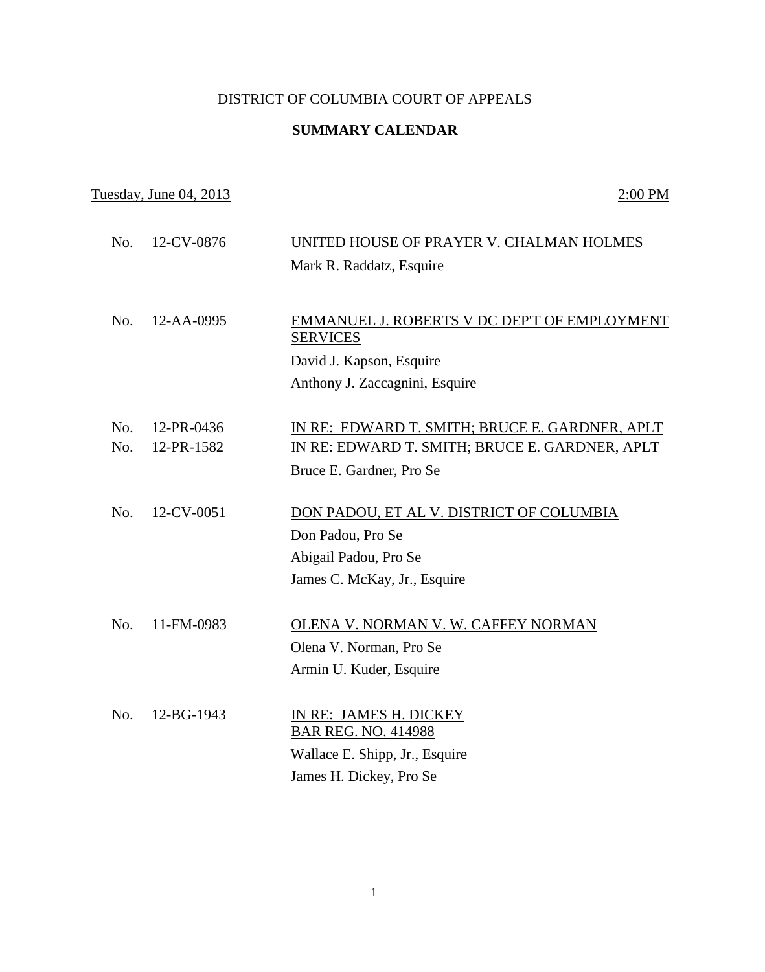## DISTRICT OF COLUMBIA COURT OF APPEALS

## **SUMMARY CALENDAR**

## Tuesday, June 04, 2013 2:00 PM

| No. | 12-CV-0876 | UNITED HOUSE OF PRAYER V. CHALMAN HOLMES                        |
|-----|------------|-----------------------------------------------------------------|
|     |            | Mark R. Raddatz, Esquire                                        |
|     |            |                                                                 |
| No. | 12-AA-0995 | EMMANUEL J. ROBERTS V DC DEP'T OF EMPLOYMENT<br><b>SERVICES</b> |
|     |            | David J. Kapson, Esquire                                        |
|     |            | Anthony J. Zaccagnini, Esquire                                  |
| No. | 12-PR-0436 | IN RE: EDWARD T. SMITH; BRUCE E. GARDNER, APLT                  |
| No. | 12-PR-1582 | IN RE: EDWARD T. SMITH; BRUCE E. GARDNER, APLT                  |
|     |            | Bruce E. Gardner, Pro Se                                        |
|     |            |                                                                 |
| No. | 12-CV-0051 | DON PADOU, ET AL V. DISTRICT OF COLUMBIA                        |
|     |            | Don Padou, Pro Se                                               |
|     |            | Abigail Padou, Pro Se                                           |
|     |            | James C. McKay, Jr., Esquire                                    |
|     |            |                                                                 |
| No. | 11-FM-0983 | OLENA V. NORMAN V. W. CAFFEY NORMAN                             |
|     |            | Olena V. Norman, Pro Se                                         |
|     |            | Armin U. Kuder, Esquire                                         |
|     |            |                                                                 |
| No. | 12-BG-1943 | IN RE: JAMES H. DICKEY                                          |
|     |            | <b>BAR REG. NO. 414988</b>                                      |
|     |            | Wallace E. Shipp, Jr., Esquire                                  |
|     |            | James H. Dickey, Pro Se                                         |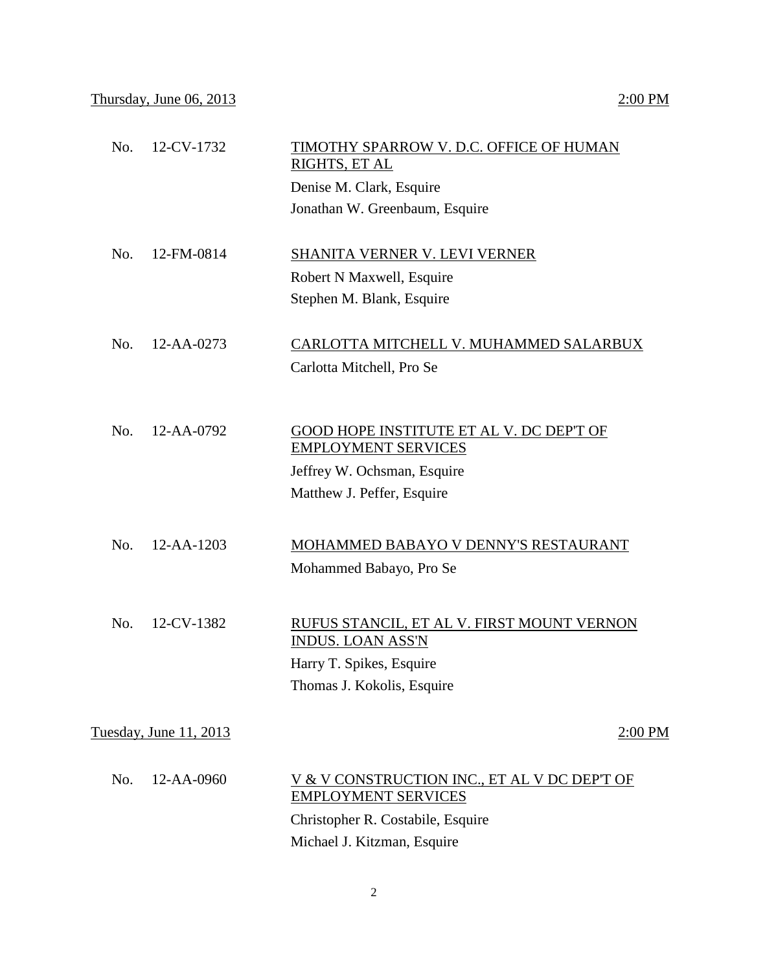| No. | 12-CV-1732             | TIMOTHY SPARROW V. D.C. OFFICE OF HUMAN<br><b>RIGHTS, ET AL</b>            |
|-----|------------------------|----------------------------------------------------------------------------|
|     |                        | Denise M. Clark, Esquire                                                   |
|     |                        | Jonathan W. Greenbaum, Esquire                                             |
| No. | 12-FM-0814             | SHANITA VERNER V. LEVI VERNER                                              |
|     |                        | Robert N Maxwell, Esquire                                                  |
|     |                        | Stephen M. Blank, Esquire                                                  |
| No. | 12-AA-0273             | CARLOTTA MITCHELL V. MUHAMMED SALARBUX                                     |
|     |                        | Carlotta Mitchell, Pro Se                                                  |
|     |                        |                                                                            |
| No. | 12-AA-0792             | GOOD HOPE INSTITUTE ET AL V. DC DEP'T OF                                   |
|     |                        | <b>EMPLOYMENT SERVICES</b>                                                 |
|     |                        | Jeffrey W. Ochsman, Esquire                                                |
|     |                        | Matthew J. Peffer, Esquire                                                 |
| No. | 12-AA-1203             | MOHAMMED BABAYO V DENNY'S RESTAURANT                                       |
|     |                        | Mohammed Babayo, Pro Se                                                    |
| No. | 12-CV-1382             | RUFUS STANCIL, ET AL V. FIRST MOUNT VERNON                                 |
|     |                        | <b>INDUS. LOAN ASS'N</b>                                                   |
|     |                        | Harry T. Spikes, Esquire                                                   |
|     |                        | Thomas J. Kokolis, Esquire                                                 |
|     | Tuesday, June 11, 2013 | $2:00$ PM                                                                  |
| No. | 12-AA-0960             | V & V CONSTRUCTION INC., ET AL V DC DEP'T OF<br><b>EMPLOYMENT SERVICES</b> |
|     |                        | Christopher R. Costabile, Esquire                                          |
|     |                        | Michael J. Kitzman, Esquire                                                |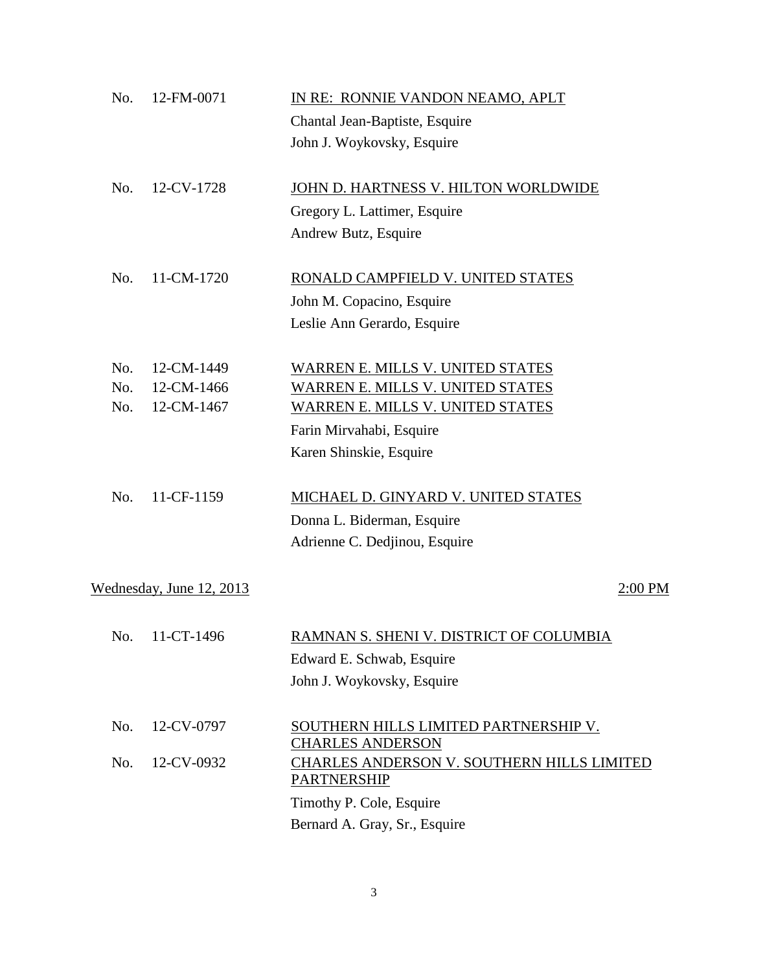| No. | 12-FM-0071               | IN RE: RONNIE VANDON NEAMO, APLT                                 |
|-----|--------------------------|------------------------------------------------------------------|
|     |                          | Chantal Jean-Baptiste, Esquire                                   |
|     |                          | John J. Woykovsky, Esquire                                       |
| No. | 12-CV-1728               | JOHN D. HARTNESS V. HILTON WORLDWIDE                             |
|     |                          | Gregory L. Lattimer, Esquire                                     |
|     |                          | Andrew Butz, Esquire                                             |
| No. | 11-CM-1720               | RONALD CAMPFIELD V. UNITED STATES                                |
|     |                          | John M. Copacino, Esquire                                        |
|     |                          | Leslie Ann Gerardo, Esquire                                      |
| No. | 12-CM-1449               | WARREN E. MILLS V. UNITED STATES                                 |
| No. | 12-CM-1466               | WARREN E. MILLS V. UNITED STATES                                 |
| No. | 12-CM-1467               | <b>WARREN E. MILLS V. UNITED STATES</b>                          |
|     |                          | Farin Mirvahabi, Esquire                                         |
|     |                          | Karen Shinskie, Esquire                                          |
| No. | 11-CF-1159               | MICHAEL D. GINYARD V. UNITED STATES                              |
|     |                          | Donna L. Biderman, Esquire                                       |
|     |                          | Adrienne C. Dedjinou, Esquire                                    |
|     | Wednesday, June 12, 2013 | 2:00 PM                                                          |
|     |                          |                                                                  |
| No. | 11-CT-1496               | <u>RAMNAN S. SHENI V. DISTRICT OF COLUMBIA</u>                   |
|     |                          | Edward E. Schwab, Esquire                                        |
|     |                          | John J. Woykovsky, Esquire                                       |
| No. | 12-CV-0797               | SOUTHERN HILLS LIMITED PARTNERSHIP V.<br><b>CHARLES ANDERSON</b> |
| No. | 12-CV-0932               | CHARLES ANDERSON V. SOUTHERN HILLS LIMITED                       |
|     |                          | <b>PARTNERSHIP</b>                                               |
|     |                          | Timothy P. Cole, Esquire                                         |
|     |                          | Bernard A. Gray, Sr., Esquire                                    |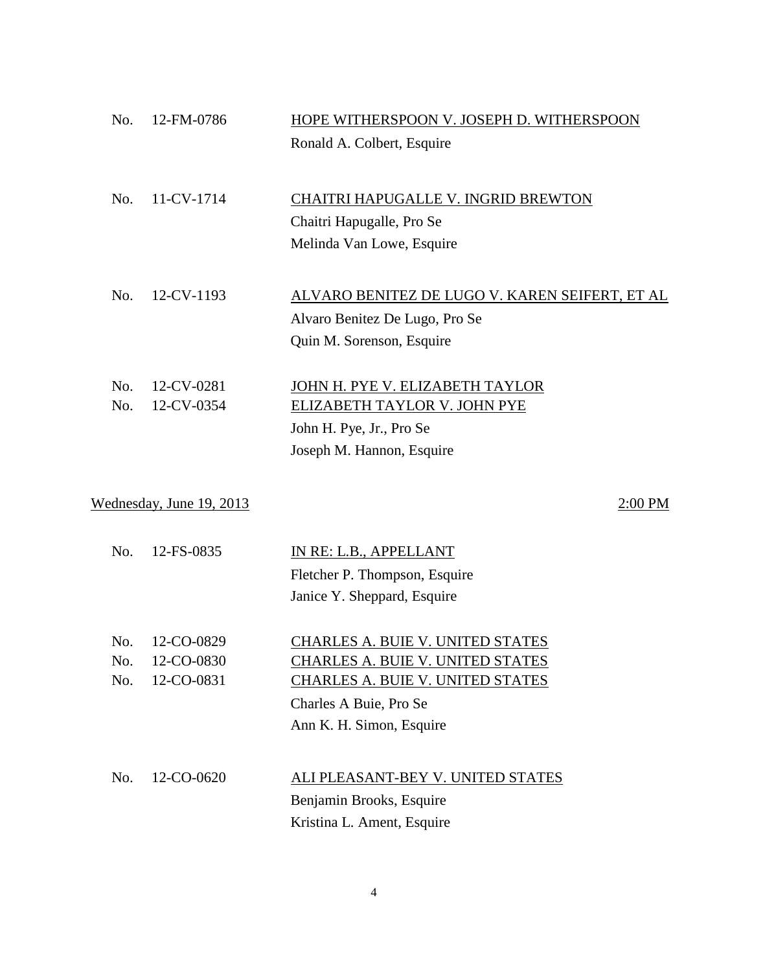| No.        | 12-FM-0786               | HOPE WITHERSPOON V. JOSEPH D. WITHERSPOON                                   |
|------------|--------------------------|-----------------------------------------------------------------------------|
|            |                          | Ronald A. Colbert, Esquire                                                  |
|            |                          |                                                                             |
| No.        | 11-CV-1714               | CHAITRI HAPUGALLE V. INGRID BREWTON                                         |
|            |                          | Chaitri Hapugalle, Pro Se                                                   |
|            |                          | Melinda Van Lowe, Esquire                                                   |
|            |                          |                                                                             |
| No.        | 12-CV-1193               | <u>ALVARO BENITEZ DE LUGO V. KAREN SEIFERT, ET AL</u>                       |
|            |                          | Alvaro Benitez De Lugo, Pro Se                                              |
|            |                          | Quin M. Sorenson, Esquire                                                   |
| No.        | 12-CV-0281               | JOHN H. PYE V. ELIZABETH TAYLOR                                             |
| No.        | 12-CV-0354               | ELIZABETH TAYLOR V. JOHN PYE                                                |
|            |                          | John H. Pye, Jr., Pro Se                                                    |
|            |                          | Joseph M. Hannon, Esquire                                                   |
|            |                          |                                                                             |
|            | Wednesday, June 19, 2013 | 2:00 PM                                                                     |
| No.        | 12-FS-0835               | IN RE: L.B., APPELLANT                                                      |
|            |                          | Fletcher P. Thompson, Esquire                                               |
|            |                          | Janice Y. Sheppard, Esquire                                                 |
|            |                          |                                                                             |
| No.<br>No. | 12-CO-0829<br>12-CO-0830 | CHARLES A. BUIE V. UNITED STATES<br><b>CHARLES A. BUIE V. UNITED STATES</b> |
| No.        | 12-CO-0831               | <b>CHARLES A. BUIE V. UNITED STATES</b>                                     |
|            |                          | Charles A Buie, Pro Se                                                      |
|            |                          | Ann K. H. Simon, Esquire                                                    |
|            |                          |                                                                             |
| No.        | 12-CO-0620               | ALI PLEASANT-BEY V. UNITED STATES                                           |
|            |                          | Benjamin Brooks, Esquire                                                    |
|            |                          | Kristina L. Ament, Esquire                                                  |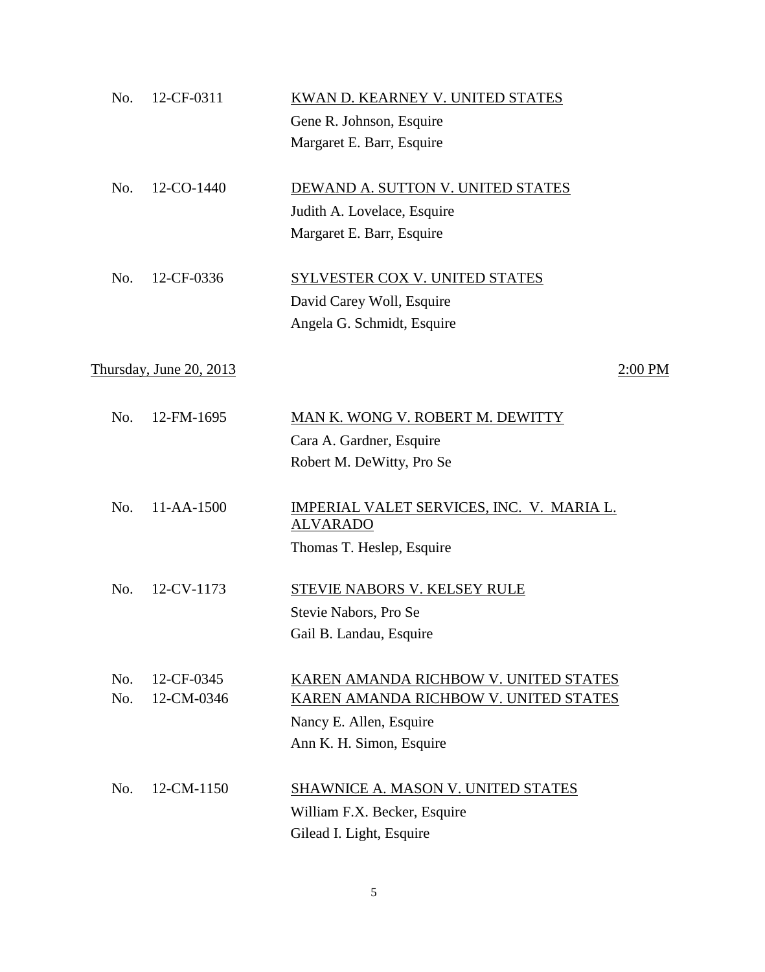| No. | 12-CF-0311              | KWAN D. KEARNEY V. UNITED STATES                                    |
|-----|-------------------------|---------------------------------------------------------------------|
|     |                         | Gene R. Johnson, Esquire                                            |
|     |                         | Margaret E. Barr, Esquire                                           |
| No. | 12-CO-1440              | DEWAND A. SUTTON V. UNITED STATES                                   |
|     |                         | Judith A. Lovelace, Esquire                                         |
|     |                         | Margaret E. Barr, Esquire                                           |
| No. | 12-CF-0336              | <b>SYLVESTER COX V. UNITED STATES</b>                               |
|     |                         | David Carey Woll, Esquire                                           |
|     |                         | Angela G. Schmidt, Esquire                                          |
|     | Thursday, June 20, 2013 | 2:00 PM                                                             |
| No. | 12-FM-1695              | MAN K. WONG V. ROBERT M. DEWITTY                                    |
|     |                         | Cara A. Gardner, Esquire                                            |
|     |                         | Robert M. DeWitty, Pro Se                                           |
| No. | 11-AA-1500              | <b>IMPERIAL VALET SERVICES, INC. V. MARIA L.</b><br><b>ALVARADO</b> |
|     |                         | Thomas T. Heslep, Esquire                                           |
| No. | 12-CV-1173              | STEVIE NABORS V. KELSEY RULE                                        |
|     |                         | Stevie Nabors, Pro Se                                               |
|     |                         | Gail B. Landau, Esquire                                             |
| No. | 12-CF-0345              | KAREN AMANDA RICHBOW V. UNITED STATES                               |
| No. | 12-CM-0346              | KAREN AMANDA RICHBOW V. UNITED STATES                               |
|     |                         | Nancy E. Allen, Esquire                                             |
|     |                         | Ann K. H. Simon, Esquire                                            |
| No. | 12-CM-1150              | <b>SHAWNICE A. MASON V. UNITED STATES</b>                           |
|     |                         | William F.X. Becker, Esquire                                        |
|     |                         | Gilead I. Light, Esquire                                            |
|     |                         |                                                                     |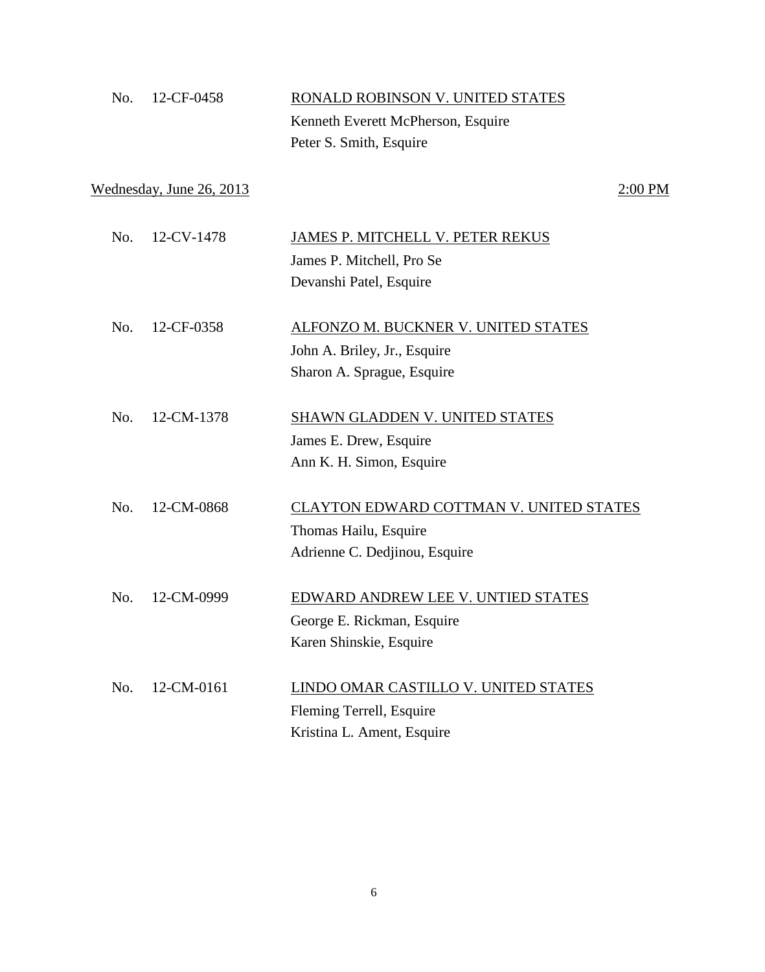| No. | 12-CF-0458               | RONALD ROBINSON V. UNITED STATES               |
|-----|--------------------------|------------------------------------------------|
|     |                          | Kenneth Everett McPherson, Esquire             |
|     |                          | Peter S. Smith, Esquire                        |
|     | Wednesday, June 26, 2013 | $2:00$ PM                                      |
| No. | 12-CV-1478               | JAMES P. MITCHELL V. PETER REKUS               |
|     |                          | James P. Mitchell, Pro Se                      |
|     |                          | Devanshi Patel, Esquire                        |
| No. | 12-CF-0358               | ALFONZO M. BUCKNER V. UNITED STATES            |
|     |                          | John A. Briley, Jr., Esquire                   |
|     |                          | Sharon A. Sprague, Esquire                     |
| No. | 12-CM-1378               | SHAWN GLADDEN V. UNITED STATES                 |
|     |                          | James E. Drew, Esquire                         |
|     |                          | Ann K. H. Simon, Esquire                       |
| No. | 12-CM-0868               | <b>CLAYTON EDWARD COTTMAN V. UNITED STATES</b> |
|     |                          | Thomas Hailu, Esquire                          |
|     |                          | Adrienne C. Dedjinou, Esquire                  |
| No. | 12-CM-0999               | EDWARD ANDREW LEE V. UNTIED STATES             |
|     |                          | George E. Rickman, Esquire                     |
|     |                          | Karen Shinskie, Esquire                        |
| No. | 12-CM-0161               | LINDO OMAR CASTILLO V. UNITED STATES           |
|     |                          | Fleming Terrell, Esquire                       |
|     |                          | Kristina L. Ament, Esquire                     |
|     |                          |                                                |